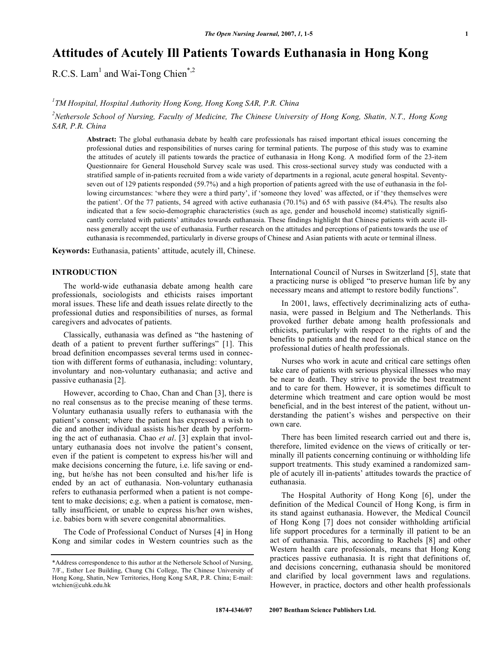# **Attitudes of Acutely Ill Patients Towards Euthanasia in Hong Kong**

R.C.S.  $Lam^1$  and Wai-Tong Chien\*,2

*1 TM Hospital, Hospital Authority Hong Kong, Hong Kong SAR, P.R. China* 

*2 Nethersole School of Nursing, Faculty of Medicine, The Chinese University of Hong Kong, Shatin, N.T., Hong Kong SAR, P.R. China* 

**Abstract:** The global euthanasia debate by health care professionals has raised important ethical issues concerning the professional duties and responsibilities of nurses caring for terminal patients. The purpose of this study was to examine the attitudes of acutely ill patients towards the practice of euthanasia in Hong Kong. A modified form of the 23-item Questionnaire for General Household Survey scale was used. This cross-sectional survey study was conducted with a stratified sample of in-patients recruited from a wide variety of departments in a regional, acute general hospital. Seventyseven out of 129 patients responded (59.7%) and a high proportion of patients agreed with the use of euthanasia in the following circumstances: 'where they were a third party', if 'someone they loved' was affected, or if 'they themselves were the patient'. Of the 77 patients, 54 agreed with active euthanasia (70.1%) and 65 with passive (84.4%). The results also indicated that a few socio-demographic characteristics (such as age, gender and household income) statistically significantly correlated with patients' attitudes towards euthanasia. These findings highlight that Chinese patients with acute illness generally accept the use of euthanasia. Further research on the attitudes and perceptions of patients towards the use of euthanasia is recommended, particularly in diverse groups of Chinese and Asian patients with acute or terminal illness.

**Keywords:** Euthanasia, patients' attitude, acutely ill, Chinese.

## **INTRODUCTION**

 The world-wide euthanasia debate among health care professionals, sociologists and ethicists raises important moral issues. These life and death issues relate directly to the professional duties and responsibilities of nurses, as formal caregivers and advocates of patients.

 Classically, euthanasia was defined as "the hastening of death of a patient to prevent further sufferings" [1]. This broad definition encompasses several terms used in connection with different forms of euthanasia, including: voluntary, involuntary and non-voluntary euthanasia; and active and passive euthanasia [2].

 However, according to Chao, Chan and Chan [3], there is no real consensus as to the precise meaning of these terms. Voluntary euthanasia usually refers to euthanasia with the patient's consent; where the patient has expressed a wish to die and another individual assists his/her death by performing the act of euthanasia. Chao *et al*. [3] explain that involuntary euthanasia does not involve the patient's consent, even if the patient is competent to express his/her will and make decisions concerning the future, i.e. life saving or ending, but he/she has not been consulted and his/her life is ended by an act of euthanasia. Non-voluntary euthanasia refers to euthanasia performed when a patient is not competent to make decisions; e.g. when a patient is comatose, mentally insufficient, or unable to express his/her own wishes, i.e. babies born with severe congenital abnormalities.

 The Code of Professional Conduct of Nurses [4] in Hong Kong and similar codes in Western countries such as the

International Council of Nurses in Switzerland [5], state that a practicing nurse is obliged "to preserve human life by any necessary means and attempt to restore bodily functions".

 In 2001, laws, effectively decriminalizing acts of euthanasia, were passed in Belgium and The Netherlands. This provoked further debate among health professionals and ethicists, particularly with respect to the rights of and the benefits to patients and the need for an ethical stance on the professional duties of health professionals.

 Nurses who work in acute and critical care settings often take care of patients with serious physical illnesses who may be near to death. They strive to provide the best treatment and to care for them. However, it is sometimes difficult to determine which treatment and care option would be most beneficial, and in the best interest of the patient, without understanding the patient's wishes and perspective on their own care.

 There has been limited research carried out and there is, therefore, limited evidence on the views of critically or terminally ill patients concerning continuing or withholding life support treatments. This study examined a randomized sample of acutely ill in-patients' attitudes towards the practice of euthanasia.

 The Hospital Authority of Hong Kong [6], under the definition of the Medical Council of Hong Kong, is firm in its stand against euthanasia. However, the Medical Council of Hong Kong [7] does not consider withholding artificial life support procedures for a terminally ill patient to be an act of euthanasia. This, according to Rachels [8] and other Western health care professionals, means that Hong Kong practices passive euthanasia. It is right that definitions of, and decisions concerning, euthanasia should be monitored and clarified by local government laws and regulations. However, in practice, doctors and other health professionals

<sup>\*</sup>Address correspondence to this author at the Nethersole School of Nursing, 7/F., Esther Lee Building, Chung Chi College, The Chinese University of Hong Kong, Shatin, New Territories, Hong Kong SAR, P.R. China; E-mail: wtchien@cuhk.edu.hk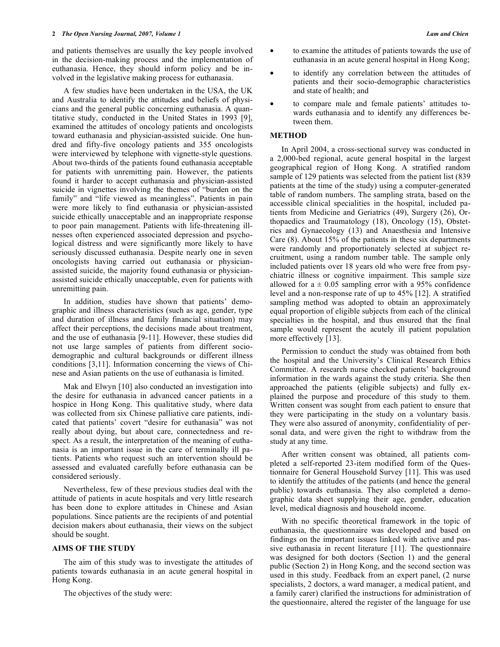and patients themselves are usually the key people involved in the decision-making process and the implementation of euthanasia. Hence, they should inform policy and be involved in the legislative making process for euthanasia.

 A few studies have been undertaken in the USA, the UK and Australia to identify the attitudes and beliefs of physicians and the general public concerning euthanasia. A quantitative study, conducted in the United States in 1993 [9], examined the attitudes of oncology patients and oncologists toward euthanasia and physician-assisted suicide. One hundred and fifty-five oncology patients and 355 oncologists were interviewed by telephone with vignette-style questions. About two-thirds of the patients found euthanasia acceptable for patients with unremitting pain. However, the patients found it harder to accept euthanasia and physician-assisted suicide in vignettes involving the themes of "burden on the family" and "life viewed as meaningless". Patients in pain were more likely to find euthanasia or physician-assisted suicide ethically unacceptable and an inappropriate response to poor pain management. Patients with life-threatening illnesses often experienced associated depression and psychological distress and were significantly more likely to have seriously discussed euthanasia. Despite nearly one in seven oncologists having carried out euthanasia or physicianassisted suicide, the majority found euthanasia or physicianassisted suicide ethically unacceptable, even for patients with unremitting pain.

 In addition, studies have shown that patients' demographic and illness characteristics (such as age, gender, type and duration of illness and family financial situation) may affect their perceptions, the decisions made about treatment, and the use of euthanasia [9-11]. However, these studies did not use large samples of patients from different sociodemographic and cultural backgrounds or different illness conditions [3,11]. Information concerning the views of Chinese and Asian patients on the use of euthanasia is limited.

 Mak and Elwyn [10] also conducted an investigation into the desire for euthanasia in advanced cancer patients in a hospice in Hong Kong. This qualitative study, where data was collected from six Chinese palliative care patients, indicated that patients' covert "desire for euthanasia" was not really about dying, but about care, connectedness and respect. As a result, the interpretation of the meaning of euthanasia is an important issue in the care of terminally ill patients. Patients who request such an intervention should be assessed and evaluated carefully before euthanasia can be considered seriously.

 Nevertheless, few of these previous studies deal with the attitude of patients in acute hospitals and very little research has been done to explore attitudes in Chinese and Asian populations. Since patients are the recipients of and potential decision makers about euthanasia, their views on the subject should be sought.

## **AIMS OF THE STUDY**

 The aim of this study was to investigate the attitudes of patients towards euthanasia in an acute general hospital in Hong Kong.

The objectives of the study were:

- to examine the attitudes of patients towards the use of euthanasia in an acute general hospital in Hong Kong;
- to identify any correlation between the attitudes of patients and their socio-demographic characteristics and state of health; and
- to compare male and female patients' attitudes towards euthanasia and to identify any differences between them.

#### **METHOD**

 In April 2004, a cross-sectional survey was conducted in a 2,000-bed regional, acute general hospital in the largest geographical region of Hong Kong. A stratified random sample of 129 patients was selected from the patient list (839 patients at the time of the study) using a computer-generated table of random numbers. The sampling strata, based on the accessible clinical specialities in the hospital, included patients from Medicine and Geriatrics (49), Surgery (26), Orthopaedics and Traumatology (18), Oncology (15), Obstetrics and Gynaecology (13) and Anaesthesia and Intensive Care (8). About 15% of the patients in these six departments were randomly and proportionately selected at subject recruitment, using a random number table. The sample only included patients over 18 years old who were free from psychiatric illness or cognitive impairment. This sample size allowed for  $a \pm 0.05$  sampling error with a 95% confidence level and a non-response rate of up to 45% [12]. A stratified sampling method was adopted to obtain an approximately equal proportion of eligible subjects from each of the clinical specialties in the hospital, and thus ensured that the final sample would represent the acutely ill patient population more effectively [13].

 Permission to conduct the study was obtained from both the hospital and the University's Clinical Research Ethics Committee. A research nurse checked patients' background information in the wards against the study criteria. She then approached the patients (eligible subjects) and fully explained the purpose and procedure of this study to them. Written consent was sought from each patient to ensure that they were participating in the study on a voluntary basis. They were also assured of anonymity, confidentiality of personal data, and were given the right to withdraw from the study at any time.

 After written consent was obtained, all patients completed a self-reported 23-item modified form of the Questionnaire for General Household Survey [11]. This was used to identify the attitudes of the patients (and hence the general public) towards euthanasia. They also completed a demographic data sheet supplying their age, gender, education level, medical diagnosis and household income.

 With no specific theoretical framework in the topic of euthanasia, the questionnaire was developed and based on findings on the important issues linked with active and passive euthanasia in recent literature [11]. The questionnaire was designed for both doctors (Section 1) and the general public (Section 2) in Hong Kong, and the second section was used in this study. Feedback from an expert panel, (2 nurse specialists, 2 doctors, a ward manager, a medical patient, and a family carer) clarified the instructions for administration of the questionnaire, altered the register of the language for use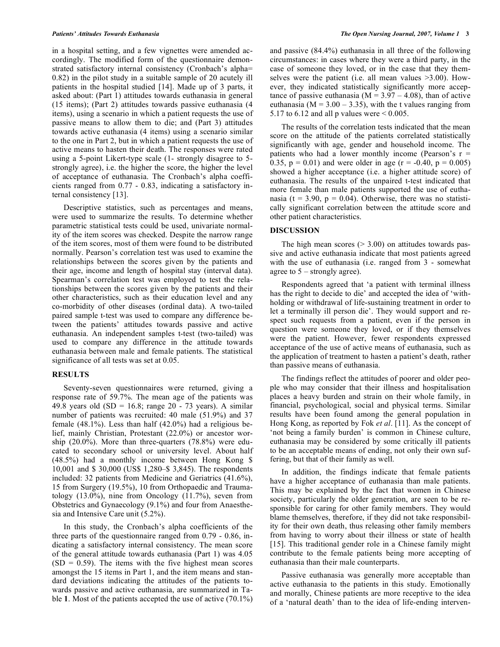in a hospital setting, and a few vignettes were amended accordingly. The modified form of the questionnaire demonstrated satisfactory internal consistency (Cronbach's alpha= 0.82) in the pilot study in a suitable sample of 20 acutely ill patients in the hospital studied [14]. Made up of 3 parts, it asked about: (Part 1) attitudes towards euthanasia in general (15 items); (Part 2) attitudes towards passive euthanasia (4 items), using a scenario in which a patient requests the use of passive means to allow them to die; and (Part 3) attitudes towards active euthanasia (4 items) using a scenario similar to the one in Part 2, but in which a patient requests the use of active means to hasten their death. The responses were rated using a 5-point Likert-type scale (1- strongly disagree to 5 strongly agree), i.e. the higher the score, the higher the level of acceptance of euthanasia. The Cronbach's alpha coefficients ranged from 0.77 - 0.83, indicating a satisfactory internal consistency [13].

 Descriptive statistics, such as percentages and means, were used to summarize the results. To determine whether parametric statistical tests could be used, univariate normality of the item scores was checked. Despite the narrow range of the item scores, most of them were found to be distributed normally. Pearson's correlation test was used to examine the relationships between the scores given by the patients and their age, income and length of hospital stay (interval data). Spearman's correlation test was employed to test the relationships between the scores given by the patients and their other characteristics, such as their education level and any co-morbidity of other diseases (ordinal data). A two-tailed paired sample t-test was used to compare any difference between the patients' attitudes towards passive and active euthanasia. An independent samples t-test (two-tailed) was used to compare any difference in the attitude towards euthanasia between male and female patients. The statistical significance of all tests was set at 0.05.

#### **RESULTS**

 Seventy-seven questionnaires were returned, giving a response rate of 59.7%. The mean age of the patients was 49.8 years old  $(SD = 16.8; \text{ range } 20 - 73 \text{ years})$ . A similar number of patients was recruited: 40 male (51.9%) and 37 female (48.1%). Less than half (42.0%) had a religious belief, mainly Christian, Protestant (22.0%) or ancestor worship  $(20.0\%)$ . More than three-quarters  $(78.8\%)$  were educated to secondary school or university level. About half (48.5%) had a monthly income between Hong Kong \$ 10,001 and \$ 30,000 (US\$ 1,280–\$ 3,845). The respondents included: 32 patients from Medicine and Geriatrics (41.6%), 15 from Surgery (19.5%), 10 from Orthopaedic and Traumatology (13.0%), nine from Oncology (11.7%), seven from Obstetrics and Gynaecology (9.1%) and four from Anaesthesia and Intensive Care unit (5.2%).

 In this study, the Cronbach's alpha coefficients of the three parts of the questionnaire ranged from 0.79 - 0.86, indicating a satisfactory internal consistency. The mean score of the general attitude towards euthanasia (Part 1) was 4.05  $(SD = 0.59)$ . The items with the five highest mean scores amongst the 15 items in Part 1, and the item means and standard deviations indicating the attitudes of the patients towards passive and active euthanasia, are summarized in Table **1**. Most of the patients accepted the use of active (70.1%) and passive (84.4%) euthanasia in all three of the following circumstances: in cases where they were a third party, in the case of someone they loved, or in the case that they themselves were the patient (i.e. all mean values >3.00). However, they indicated statistically significantly more acceptance of passive euthanasia ( $M = 3.97 - 4.08$ ), than of active euthanasia ( $M = 3.00 - 3.35$ ), with the t values ranging from 5.17 to 6.12 and all p values were  $\leq 0.005$ .

 The results of the correlation tests indicated that the mean score on the attitude of the patients correlated statistically significantly with age, gender and household income. The patients who had a lower monthly income (Pearson's  $r =$ 0.35,  $p = 0.01$ ) and were older in age ( $r = -0.40$ ,  $p = 0.005$ ) showed a higher acceptance (i.e. a higher attitude score) of euthanasia. The results of the unpaired t-test indicated that more female than male patients supported the use of euthanasia (t = 3.90,  $p = 0.04$ ). Otherwise, there was no statistically significant correlation between the attitude score and other patient characteristics.

### **DISCUSSION**

The high mean scores  $(> 3.00)$  on attitudes towards passive and active euthanasia indicate that most patients agreed with the use of euthanasia (i.e. ranged from 3 - somewhat agree to  $5$  – strongly agree).

 Respondents agreed that 'a patient with terminal illness has the right to decide to die' and accepted the idea of 'withholding or withdrawal of life-sustaining treatment in order to let a terminally ill person die'. They would support and respect such requests from a patient, even if the person in question were someone they loved, or if they themselves were the patient. However, fewer respondents expressed acceptance of the use of active means of euthanasia, such as the application of treatment to hasten a patient's death, rather than passive means of euthanasia.

 The findings reflect the attitudes of poorer and older people who may consider that their illness and hospitalisation places a heavy burden and strain on their whole family, in financial, psychological, social and physical terms. Similar results have been found among the general population in Hong Kong, as reported by Fok *et al*. [11]. As the concept of 'not being a family burden' is common in Chinese culture, euthanasia may be considered by some critically ill patients to be an acceptable means of ending, not only their own suffering, but that of their family as well.

 In addition, the findings indicate that female patients have a higher acceptance of euthanasia than male patients. This may be explained by the fact that women in Chinese society, particularly the older generation, are seen to be responsible for caring for other family members. They would blame themselves, therefore, if they did not take responsibility for their own death, thus releasing other family members from having to worry about their illness or state of health [15]. This traditional gender role in a Chinese family might contribute to the female patients being more accepting of euthanasia than their male counterparts.

 Passive euthanasia was generally more acceptable than active euthanasia to the patients in this study. Emotionally and morally, Chinese patients are more receptive to the idea of a 'natural death' than to the idea of life-ending interven-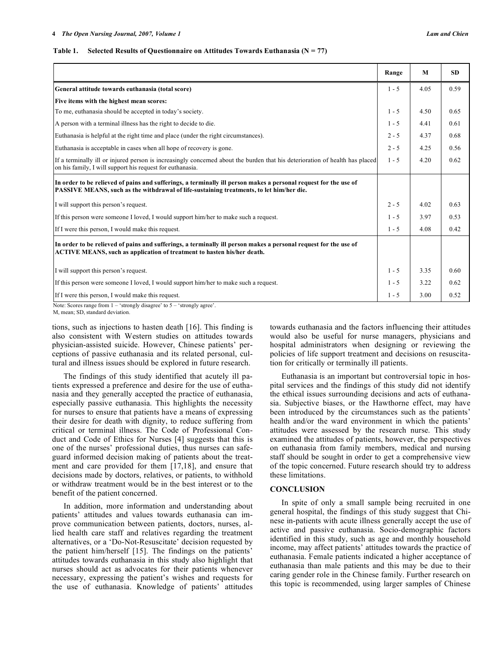#### **Table 1. Selected Results of Questionnaire on Attitudes Towards Euthanasia (N = 77)**

|                                                                                                                                                                                                              | Range   | M    | <b>SD</b> |
|--------------------------------------------------------------------------------------------------------------------------------------------------------------------------------------------------------------|---------|------|-----------|
| General attitude towards euthanasia (total score)                                                                                                                                                            | $1 - 5$ | 4.05 | 0.59      |
| Five items with the highest mean scores:                                                                                                                                                                     |         |      |           |
| To me, euthanasia should be accepted in today's society.                                                                                                                                                     | $1 - 5$ | 4.50 | 0.65      |
| A person with a terminal illness has the right to decide to die.                                                                                                                                             | $1 - 5$ | 4.41 | 0.61      |
| Euthanasia is helpful at the right time and place (under the right circumstances).                                                                                                                           | $2 - 5$ | 4.37 | 0.68      |
| Euthanasia is acceptable in cases when all hope of recovery is gone.                                                                                                                                         | $2 - 5$ | 4.25 | 0.56      |
| If a terminally ill or injured person is increasingly concerned about the burden that his deterioration of health has placed<br>on his family, I will support his request for euthanasia.                    | $1 - 5$ | 4.20 | 0.62      |
| In order to be relieved of pains and sufferings, a terminally ill person makes a personal request for the use of<br>PASSIVE MEANS, such as the withdrawal of life-sustaining treatments, to let him/her die. |         |      |           |
| I will support this person's request.                                                                                                                                                                        | $2 - 5$ | 4.02 | 0.63      |
| If this person were someone I loved, I would support him/her to make such a request.                                                                                                                         | $1 - 5$ | 3.97 | 0.53      |
| If I were this person, I would make this request.                                                                                                                                                            | $1 - 5$ | 4.08 | 0.42      |
| In order to be relieved of pains and sufferings, a terminally ill person makes a personal request for the use of<br><b>ACTIVE MEANS, such as application of treatment to hasten his/her death.</b>           |         |      |           |
| I will support this person's request.                                                                                                                                                                        | $1 - 5$ | 3.35 | 0.60      |
| If this person were someone I loved, I would support him/her to make such a request.                                                                                                                         | $1 - 5$ | 3.22 | 0.62      |
| If I were this person, I would make this request.                                                                                                                                                            | $1 - 5$ | 3.00 | 0.52      |
| Note: Scores range from $1 -$ 'strongly disagree' to $5 -$ 'strongly agree'.                                                                                                                                 |         |      |           |

M, mean; SD, standard deviation.

tions, such as injections to hasten death [16]. This finding is also consistent with Western studies on attitudes towards physician-assisted suicide. However, Chinese patients' perceptions of passive euthanasia and its related personal, cultural and illness issues should be explored in future research.

 The findings of this study identified that acutely ill patients expressed a preference and desire for the use of euthanasia and they generally accepted the practice of euthanasia, especially passive euthanasia. This highlights the necessity for nurses to ensure that patients have a means of expressing their desire for death with dignity, to reduce suffering from critical or terminal illness. The Code of Professional Conduct and Code of Ethics for Nurses [4] suggests that this is one of the nurses' professional duties, thus nurses can safeguard informed decision making of patients about the treatment and care provided for them [17,18], and ensure that decisions made by doctors, relatives, or patients, to withhold or withdraw treatment would be in the best interest or to the benefit of the patient concerned.

 In addition, more information and understanding about patients' attitudes and values towards euthanasia can improve communication between patients, doctors, nurses, allied health care staff and relatives regarding the treatment alternatives, or a 'Do-Not-Resuscitate' decision requested by the patient him/herself [15]. The findings on the patients' attitudes towards euthanasia in this study also highlight that nurses should act as advocates for their patients whenever necessary, expressing the patient's wishes and requests for the use of euthanasia. Knowledge of patients' attitudes

towards euthanasia and the factors influencing their attitudes would also be useful for nurse managers, physicians and hospital administrators when designing or reviewing the policies of life support treatment and decisions on resuscitation for critically or terminally ill patients.

 Euthanasia is an important but controversial topic in hospital services and the findings of this study did not identify the ethical issues surrounding decisions and acts of euthanasia. Subjective biases, or the Hawthorne effect, may have been introduced by the circumstances such as the patients' health and/or the ward environment in which the patients' attitudes were assessed by the research nurse. This study examined the attitudes of patients, however, the perspectives on euthanasia from family members, medical and nursing staff should be sought in order to get a comprehensive view of the topic concerned. Future research should try to address these limitations.

#### **CONCLUSION**

 In spite of only a small sample being recruited in one general hospital, the findings of this study suggest that Chinese in-patients with acute illness generally accept the use of active and passive euthanasia. Socio-demographic factors identified in this study, such as age and monthly household income, may affect patients' attitudes towards the practice of euthanasia. Female patients indicated a higher acceptance of euthanasia than male patients and this may be due to their caring gender role in the Chinese family. Further research on this topic is recommended, using larger samples of Chinese